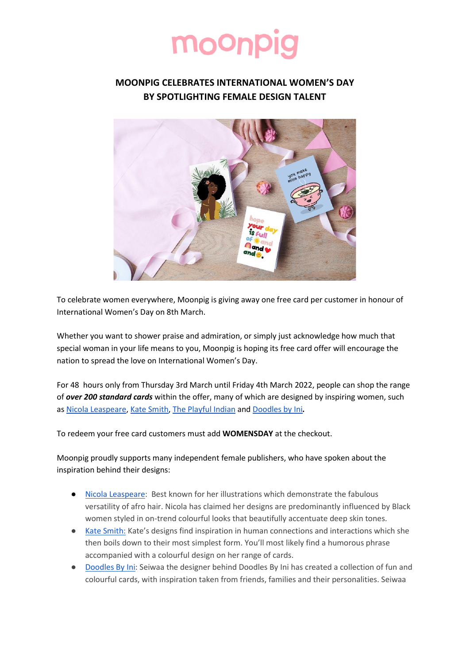## moonp

## **MOONPIG CELEBRATES INTERNATIONAL WOMEN'S DAY BY SPOTLIGHTING FEMALE DESIGN TALENT**



To celebrate women everywhere, Moonpig is giving away one free card per customer in honour of International Women's Day on 8th March.

Whether you want to shower praise and admiration, or simply just acknowledge how much that special woman in your life means to you, Moonpig is hoping its free card offer will encourage the nation to spread the love on International Women's Day.

For 48 hours only from Thursday 3rd March until Friday 4th March 2022, people can shop the range of *over 200 standard cards* within the offer, many of which are designed by inspiring women, such as [Nicola Leaspeare,](https://www.moonpig.com/uk/search/?d=all_cards&q=Nicola%20Lespeare) [Kate Smith,](https://www.moonpig.com/uk/blog/stories/meet-the-artist-hello-from-kate-smith-company/) [The Playful Indian](https://www.moonpig.com/uk/search/?d=all_cards&q=playful%20indian) and [Doodles by Ini](https://www.moonpig.com/uk/blog/stories/meet-the-artists-hello-from-seiwaa/)*.* 

To redeem your free card customers must add **WOMENSDAY** at the checkout.

Moonpig proudly supports many independent female publishers, who have spoken about the inspiration behind their designs:

- [Nicola Leaspeare:](https://www.moonpig.com/uk/blog/stories/meet-the-artists-hello-from-nicola-lespeare/) Best known for her illustrations which demonstrate the fabulous versatility of afro hair. Nicola has claimed her designs are predominantly influenced by Black women styled in on-trend colourful looks that beautifully accentuate deep skin tones.
- [Kate Smith:](https://www.moonpig.com/uk/search/?d=all_cards&q=kate%20smith) Kate's designs find inspiration in human connections and interactions which she then boils down to their most simplest form. You'll most likely find a humorous phrase accompanied with a colourful design on her range of cards.
- [Doodles By Ini:](https://www.moonpig.com/uk/search/?d=all_cards&q=doodles%20by%20ini) Seiwaa the designer behind Doodles By Ini has created a collection of fun and colourful cards, with inspiration taken from friends, families and their personalities. Seiwaa